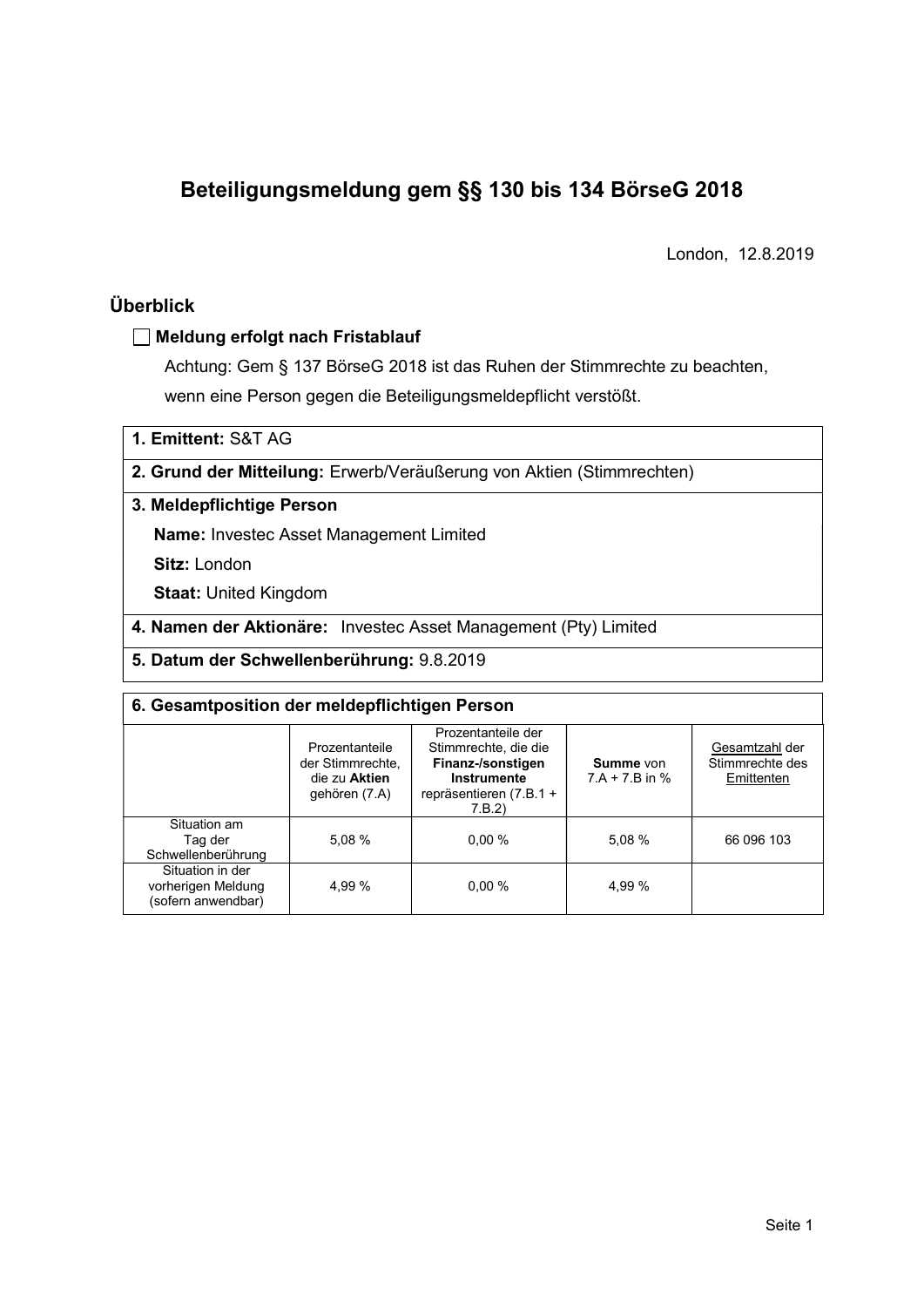# Beteiligungsmeldung gem §§ 130 bis 134 BörseG 2018

London, 12.8.2019

# Überblick

### Meldung erfolgt nach Fristablauf

Achtung: Gem § 137 BörseG 2018 ist das Ruhen der Stimmrechte zu beachten, wenn eine Person gegen die Beteiligungsmeldepflicht verstößt.

1. Emittent: S&T AG

### 2. Grund der Mitteilung: Erwerb/Veräußerung von Aktien (Stimmrechten)

### 3. Meldepflichtige Person

Name: Investec Asset Management Limited

Sitz: London

Staat: United Kingdom

- 4. Namen der Aktionäre: Investec Asset Management (Pty) Limited
- 5. Datum der Schwellenberührung: 9.8.2019

| 6. Gesamtposition der meldepflichtigen Person                |                                                                      |                                                                                                                       |                               |                                                 |  |  |  |
|--------------------------------------------------------------|----------------------------------------------------------------------|-----------------------------------------------------------------------------------------------------------------------|-------------------------------|-------------------------------------------------|--|--|--|
|                                                              | Prozentanteile<br>der Stimmrechte.<br>die zu Aktien<br>gehören (7.A) | Prozentanteile der<br>Stimmrechte, die die<br>Finanz-/sonstigen<br>Instrumente<br>repräsentieren $(7.B.1 +$<br>7.B.2) | Summe von<br>$7.A + 7.B$ in % | Gesamtzahl der<br>Stimmrechte des<br>Emittenten |  |  |  |
| Situation am<br>Tag der<br>Schwellenberührung                | 5.08%                                                                | $0.00 \%$                                                                                                             | 5.08%                         | 66 096 103                                      |  |  |  |
| Situation in der<br>vorherigen Meldung<br>(sofern anwendbar) | 4.99 %                                                               | $0.00\%$                                                                                                              | 4,99 %                        |                                                 |  |  |  |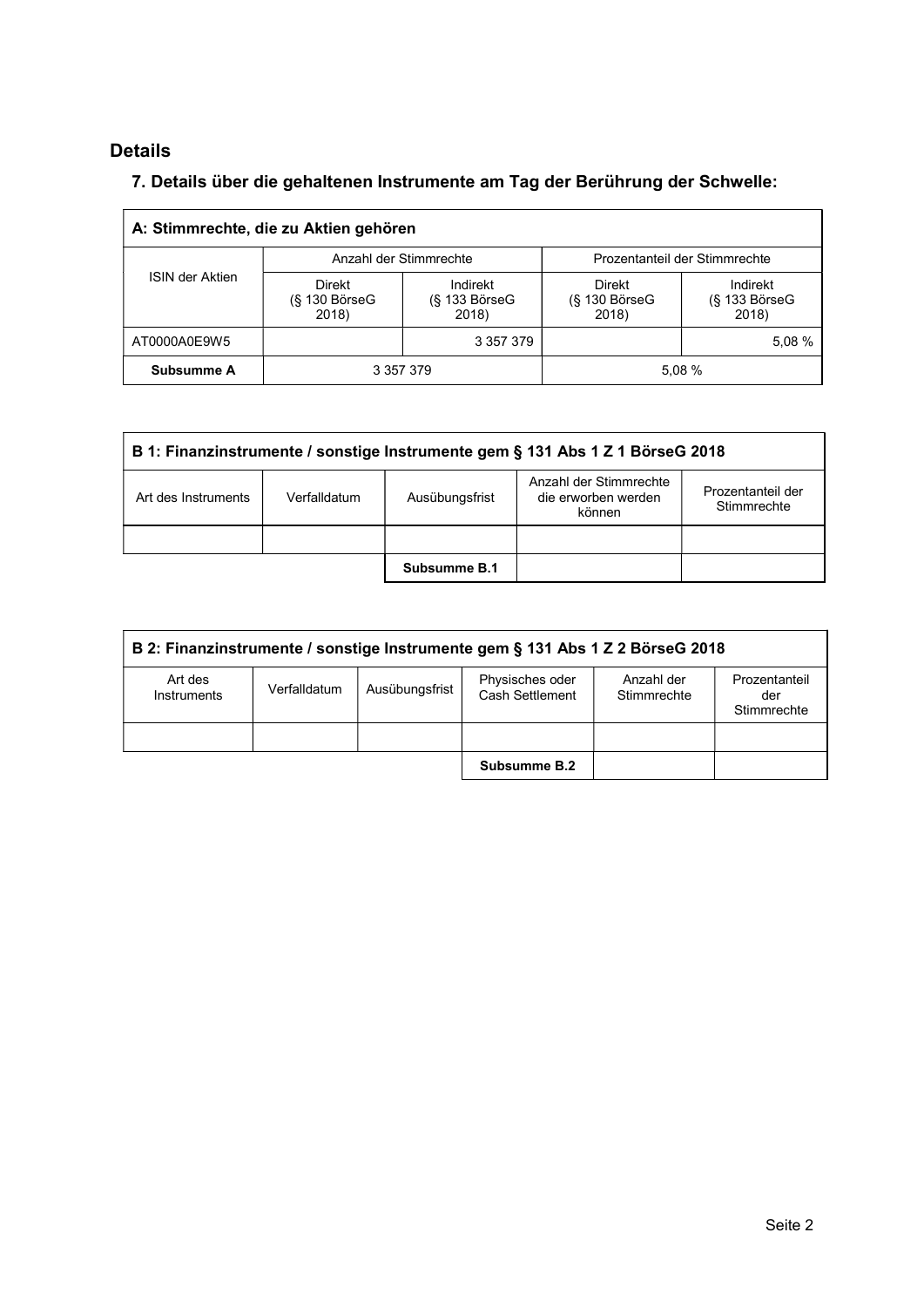# Details

 $\Gamma$ 

# 7. Details über die gehaltenen Instrumente am Tag der Berührung der Schwelle:

|                 | A: Stimmrechte, die zu Aktien gehören   |                                    |                                  |                                    |
|-----------------|-----------------------------------------|------------------------------------|----------------------------------|------------------------------------|
|                 | Anzahl der Stimmrechte                  |                                    | Prozentanteil der Stimmrechte    |                                    |
| ISIN der Aktien | <b>Direkt</b><br>(§ 130 BörseG<br>2018) | Indirekt<br>(§ 133 BörseG<br>2018) | Direkt<br>(§ 130 BörseG<br>2018) | Indirekt<br>(§ 133 BörseG<br>2018) |
| AT0000A0E9W5    |                                         | 3 357 379                          |                                  | 5.08%                              |
| Subsumme A      | 3 357 379                               |                                    | 5.08 %                           |                                    |

|                     | B 1: Finanzinstrumente / sonstige Instrumente gem § 131 Abs 1 Z 1 BörseG 2018 |                |                                                         |                                  |  |  |  |
|---------------------|-------------------------------------------------------------------------------|----------------|---------------------------------------------------------|----------------------------------|--|--|--|
| Art des Instruments | Verfalldatum                                                                  | Ausübungsfrist | Anzahl der Stimmrechte<br>die erworben werden<br>können | Prozentanteil der<br>Stimmrechte |  |  |  |
|                     |                                                                               |                |                                                         |                                  |  |  |  |
|                     |                                                                               | Subsumme B.1   |                                                         |                                  |  |  |  |

|                        | B 2: Finanzinstrumente / sonstige Instrumente gem § 131 Abs 1 Z 2 BörseG 2018 |                |                                    |                           |                                     |  |  |
|------------------------|-------------------------------------------------------------------------------|----------------|------------------------------------|---------------------------|-------------------------------------|--|--|
| Art des<br>Instruments | Verfalldatum                                                                  | Ausübungsfrist | Physisches oder<br>Cash Settlement | Anzahl der<br>Stimmrechte | Prozentanteil<br>der<br>Stimmrechte |  |  |
|                        |                                                                               |                |                                    |                           |                                     |  |  |
|                        |                                                                               |                | Subsumme B.2                       |                           |                                     |  |  |

 $\overline{\phantom{a}}$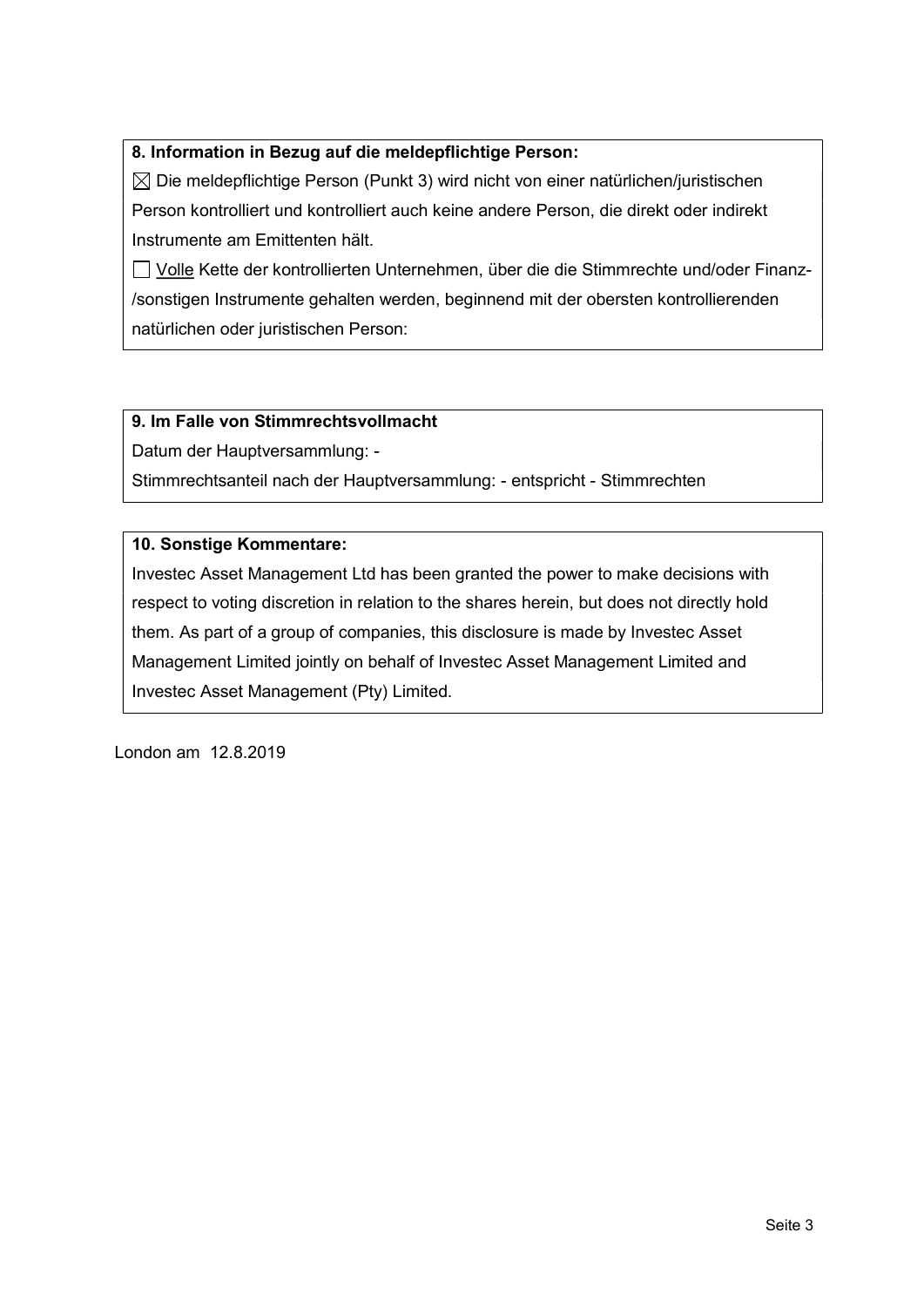### 8. Information in Bezug auf die meldepflichtige Person:

 $\boxtimes$  Die meldepflichtige Person (Punkt 3) wird nicht von einer natürlichen/juristischen Person kontrolliert und kontrolliert auch keine andere Person, die direkt oder indirekt Instrumente am Emittenten hält.

 Volle Kette der kontrollierten Unternehmen, über die die Stimmrechte und/oder Finanz- /sonstigen Instrumente gehalten werden, beginnend mit der obersten kontrollierenden natürlichen oder juristischen Person:

### 9. Im Falle von Stimmrechtsvollmacht

Datum der Hauptversammlung: -

Stimmrechtsanteil nach der Hauptversammlung: - entspricht - Stimmrechten

### 10. Sonstige Kommentare:

Investec Asset Management Ltd has been granted the power to make decisions with respect to voting discretion in relation to the shares herein, but does not directly hold them. As part of a group of companies, this disclosure is made by Investec Asset Management Limited jointly on behalf of Investec Asset Management Limited and Investec Asset Management (Pty) Limited.

London am 12.8.2019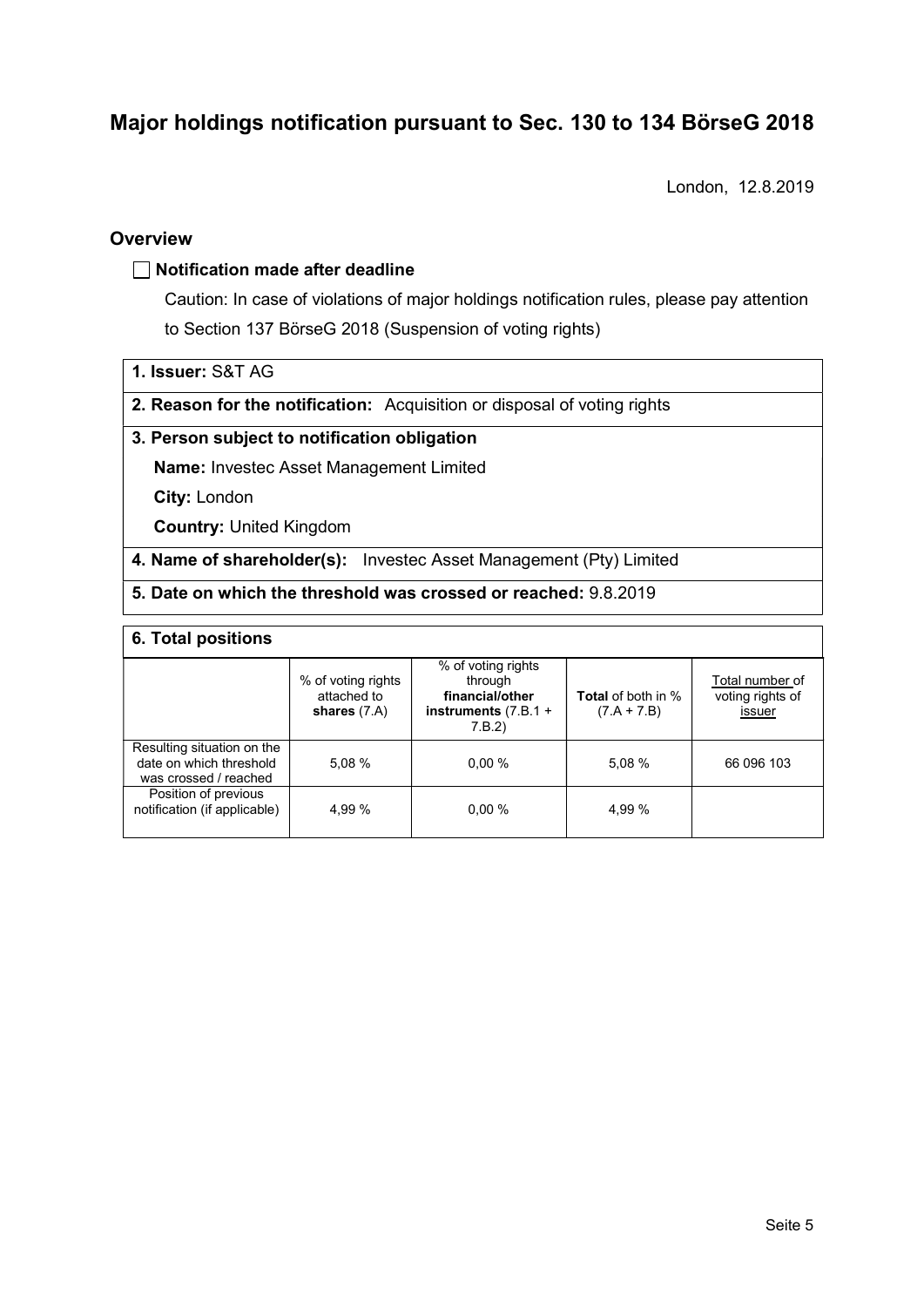# Major holdings notification pursuant to Sec. 130 to 134 BörseG 2018<br>London, 12.8.2019

London, 12.8.2019

### **Overview**

### $\Box$  Notification made after deadline

Caution: In case of violations of major holdings notification rules, please pay attention to Section 137 BörseG 2018 (Suspension of voting rights)

1. Issuer: S&T AG

2. Reason for the notification: Acquisition or disposal of voting rights

### 3. Person subject to notification obligation

Name: Investec Asset Management Limited

City: London

Country: United Kingdom

4. Name of shareholder(s): Investec Asset Management (Pty) Limited

### 5. Date on which the threshold was crossed or reached: 9.8.2019

### 6. Total positions

|                                                                                | % of voting rights<br>attached to<br>shares $(7.A)$ | % of voting rights<br>through<br>financial/other<br>instruments $(7.B.1 +$<br>7.B.2) | <b>Total</b> of both in %<br>$(7.A + 7.B)$ | Total number of<br>voting rights of<br>issuer |
|--------------------------------------------------------------------------------|-----------------------------------------------------|--------------------------------------------------------------------------------------|--------------------------------------------|-----------------------------------------------|
| Resulting situation on the<br>date on which threshold<br>was crossed / reached | 5,08%                                               | $0.00 \%$                                                                            | 5,08 %                                     | 66 096 103                                    |
| Position of previous<br>notification (if applicable)                           | 4.99 %                                              | $0.00 \%$                                                                            | 4,99 %                                     |                                               |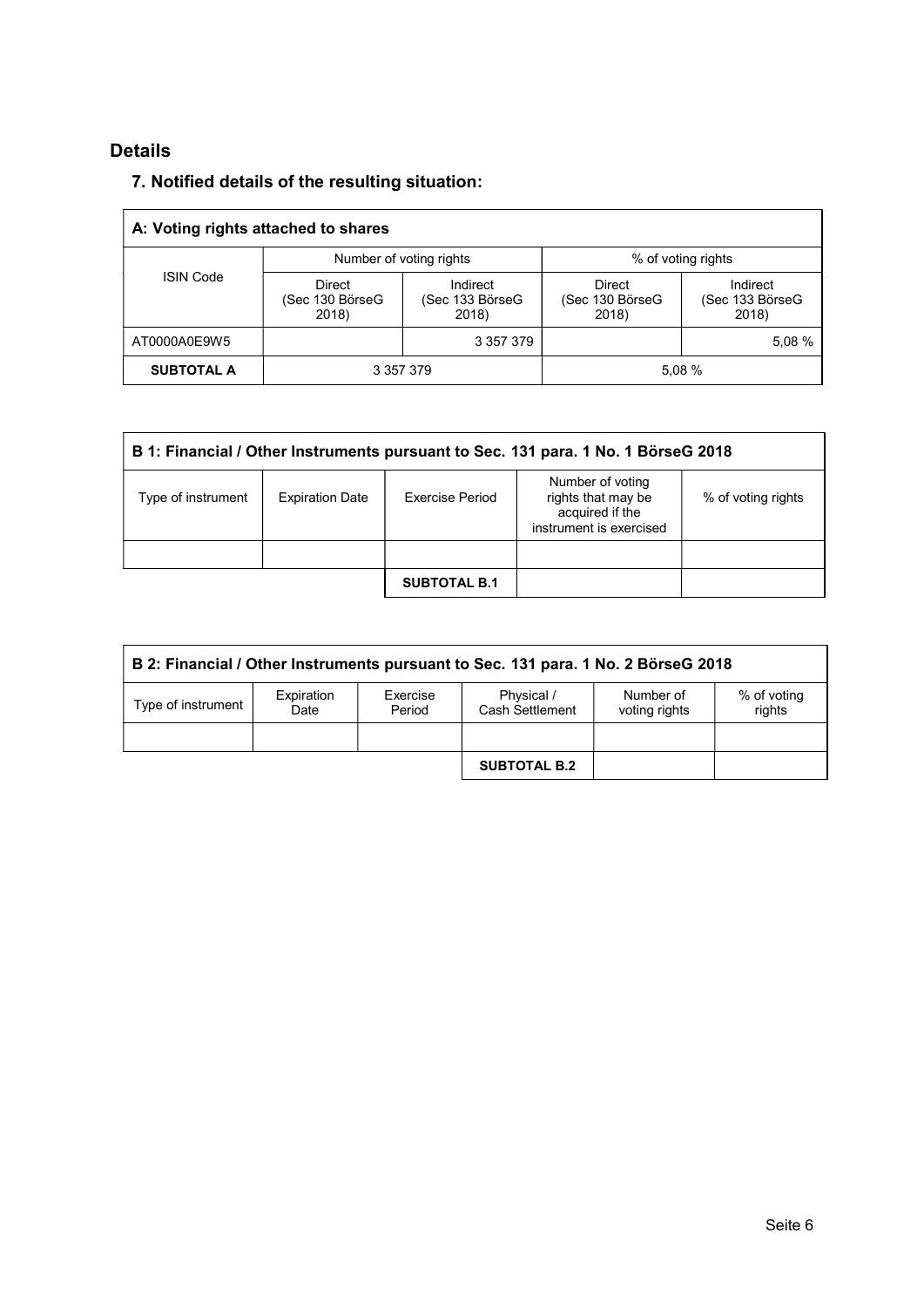# Details

# 7. Notified details of the resulting situation:

|                   | A: Voting rights attached to shares |                                      |                                           |                                      |
|-------------------|-------------------------------------|--------------------------------------|-------------------------------------------|--------------------------------------|
|                   | Number of voting rights             |                                      | % of voting rights                        |                                      |
| <b>ISIN Code</b>  | Direct<br>(Sec 130 BörseG<br>2018)  | Indirect<br>(Sec 133 BörseG<br>2018) | <b>Direct</b><br>(Sec 130 BörseG<br>2018) | Indirect<br>(Sec 133 BörseG<br>2018) |
| AT0000A0E9W5      |                                     | 3 357 379                            |                                           | 5,08 %                               |
| <b>SUBTOTAL A</b> | 3 357 379                           |                                      | 5,08 %                                    |                                      |

|                    | B 1: Financial / Other Instruments pursuant to Sec. 131 para. 1 No. 1 BörseG 2018 |                     |                                                                                      |                    |  |  |  |  |
|--------------------|-----------------------------------------------------------------------------------|---------------------|--------------------------------------------------------------------------------------|--------------------|--|--|--|--|
| Type of instrument | <b>Expiration Date</b>                                                            | Exercise Period     | Number of voting<br>rights that may be<br>acquired if the<br>instrument is exercised | % of voting rights |  |  |  |  |
|                    |                                                                                   |                     |                                                                                      |                    |  |  |  |  |
|                    |                                                                                   | <b>SUBTOTAL B.1</b> |                                                                                      |                    |  |  |  |  |

| B 2: Financial / Other Instruments pursuant to Sec. 131 para. 1 No. 2 BörseG 2018 |                    |                    |                               |                            |                       |  |
|-----------------------------------------------------------------------------------|--------------------|--------------------|-------------------------------|----------------------------|-----------------------|--|
| Type of instrument                                                                | Expiration<br>Date | Exercise<br>Period | Physical /<br>Cash Settlement | Number of<br>voting rights | % of voting<br>rights |  |
|                                                                                   |                    |                    | <b>SUBTOTAL B.2</b>           |                            |                       |  |